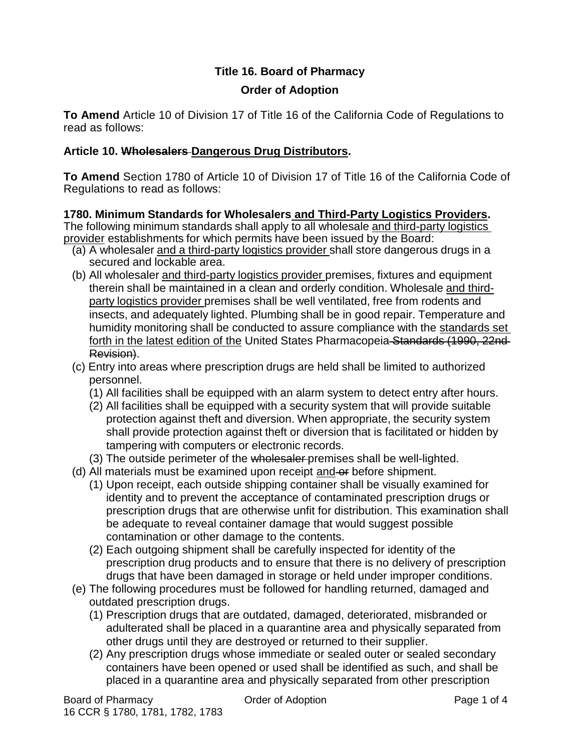# **Title 16. Board of Pharmacy Order of Adoption**

**To Amend** Article 10 of Division 17 of Title 16 of the California Code of Regulations to read as follows:

## **Article 10. Wholesalers Dangerous Drug Distributors.**

**To Amend** Section 1780 of Article 10 of Division 17 of Title 16 of the California Code of Regulations to read as follows:

**1780. Minimum Standards for Wholesalers and Third-Party Logistics Providers.** The following minimum standards shall apply to all wholesale and third-party logistics provider establishments for which permits have been issued by the Board:

- (a) A wholesaler and a third-party logistics provider shall store dangerous drugs in a secured and lockable area.
- (b) All wholesaler and third-party logistics provider premises, fixtures and equipment therein shall be maintained in a clean and orderly condition. Wholesale and thirdparty logistics provider premises shall be well ventilated, free from rodents and insects, and adequately lighted. Plumbing shall be in good repair. Temperature and humidity monitoring shall be conducted to assure compliance with the standards set forth in the latest edition of the United States Pharmacopeia Standards (1990, 22nd-Revision).
- (c) Entry into areas where prescription drugs are held shall be limited to authorized personnel.
	- (1) All facilities shall be equipped with an alarm system to detect entry after hours.
	- (2) All facilities shall be equipped with a security system that will provide suitable protection against theft and diversion. When appropriate, the security system shall provide protection against theft or diversion that is facilitated or hidden by tampering with computers or electronic records.
	- (3) The outside perimeter of the wholesaler premises shall be well-lighted.
- (d) All materials must be examined upon receipt and or before shipment.
	- (1) Upon receipt, each outside shipping container shall be visually examined for identity and to prevent the acceptance of contaminated prescription drugs or prescription drugs that are otherwise unfit for distribution. This examination shall be adequate to reveal container damage that would suggest possible contamination or other damage to the contents.
	- (2) Each outgoing shipment shall be carefully inspected for identity of the prescription drug products and to ensure that there is no delivery of prescription drugs that have been damaged in storage or held under improper conditions.
- (e) The following procedures must be followed for handling returned, damaged and outdated prescription drugs.
	- (1) Prescription drugs that are outdated, damaged, deteriorated, misbranded or adulterated shall be placed in a quarantine area and physically separated from other drugs until they are destroyed or returned to their supplier.
	- (2) Any prescription drugs whose immediate or sealed outer or sealed secondary containers have been opened or used shall be identified as such, and shall be placed in a quarantine area and physically separated from other prescription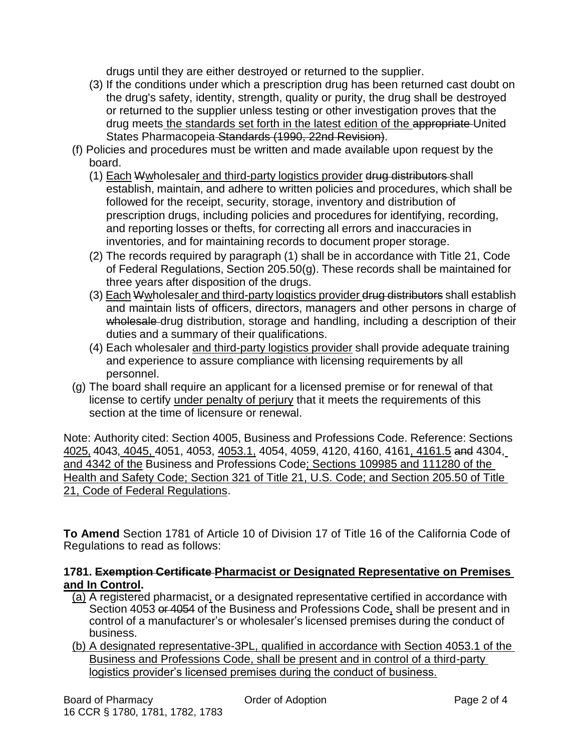drugs until they are either destroyed or returned to the supplier.

- (3) If the conditions under which a prescription drug has been returned cast doubt on the drug's safety, identity, strength, quality or purity, the drug shall be destroyed or returned to the supplier unless testing or other investigation proves that the drug meets the standards set forth in the latest edition of the appropriate United States Pharmacopeia Standards (1990, 22nd Revision).
- (f) Policies and procedures must be written and made available upon request by the board.
	- (1) Each Wwholesaler and third-party logistics provider drug distributors shall establish, maintain, and adhere to written policies and procedures, which shall be followed for the receipt, security, storage, inventory and distribution of prescription drugs, including policies and procedures for identifying, recording, and reporting losses or thefts, for correcting all errors and inaccuracies in inventories, and for maintaining records to document proper storage.
	- (2) The records required by paragraph (1) shall be in accordance with Title 21, Code of Federal Regulations, Section 205.50(g). These records shall be maintained for three years after disposition of the drugs.
	- (3) Each Wwholesaler and third-party logistics provider drug distributors shall establish and maintain lists of officers, directors, managers and other persons in charge of wholesale drug distribution, storage and handling, including a description of their duties and a summary of their qualifications.
	- (4) Each wholesaler and third-party logistics provider shall provide adequate training and experience to assure compliance with licensing requirements by all personnel.
- (g) The board shall require an applicant for a licensed premise or for renewal of that license to certify under penalty of perjury that it meets the requirements of this section at the time of licensure or renewal.

Note: Authority cited: Section 4005, Business and Professions Code. Reference: Sections 4025, 4043, 4045, 4051, 4053, 4053.1, 4054, 4059, 4120, 4160, 4161, 4161.5 and 4304, and 4342 of the Business and Professions Code; Sections 109985 and 111280 of the Health and Safety Code; Section 321 of Title 21, U.S. Code; and Section 205.50 of Title 21, Code of Federal Regulations.

**To Amend** Section 1781 of Article 10 of Division 17 of Title 16 of the California Code of Regulations to read as follows:

#### **1781. Exemption Certificate Pharmacist or Designated Representative on Premises and In Control.**

- (a) A registered pharmacist, or a designated representative certified in accordance with Section 4053 or 4054 of the Business and Professions Code, shall be present and in control of a manufacturer's or wholesaler's licensed premises during the conduct of business.
- (b) A designated representative-3PL, qualified in accordance with Section 4053.1 of the Business and Professions Code, shall be present and in control of a third-party logistics provider's licensed premises during the conduct of business.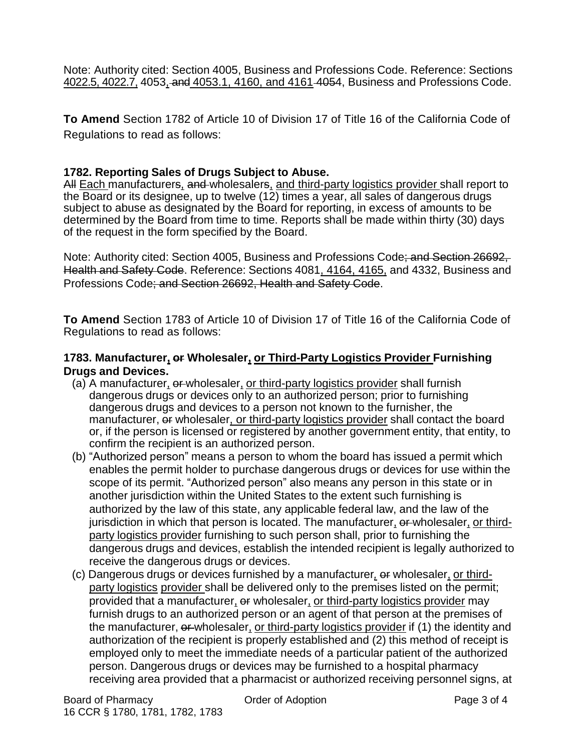Note: Authority cited: Section 4005, Business and Professions Code. Reference: Sections 4022.5, 4022.7, 4053, and 4053.1, 4160, and 4161 4054, Business and Professions Code.

**To Amend** Section 1782 of Article 10 of Division 17 of Title 16 of the California Code of Regulations to read as follows:

## **1782. Reporting Sales of Drugs Subject to Abuse.**

All Each manufacturers, and wholesalers, and third-party logistics provider shall report to the Board or its designee, up to twelve (12) times a year, all sales of dangerous drugs subject to abuse as designated by the Board for reporting, in excess of amounts to be determined by the Board from time to time. Reports shall be made within thirty (30) days of the request in the form specified by the Board.

Note: Authority cited: Section 4005, Business and Professions Code; and Section 26692, Health and Safety Code. Reference: Sections 4081, 4164, 4165, and 4332, Business and Professions Code; and Section 26692, Health and Safety Code.

**To Amend** Section 1783 of Article 10 of Division 17 of Title 16 of the California Code of Regulations to read as follows:

## **1783. Manufacturer, or Wholesaler, or Third-Party Logistics Provider Furnishing Drugs and Devices.**

- (a) A manufacturer,  $\theta$ -wholesaler, or third-party logistics provider shall furnish dangerous drugs or devices only to an authorized person; prior to furnishing dangerous drugs and devices to a person not known to the furnisher, the manufacturer, or wholesaler, or third-party logistics provider shall contact the board or, if the person is licensed or registered by another government entity, that entity, to confirm the recipient is an authorized person.
- (b) "Authorized person" means a person to whom the board has issued a permit which enables the permit holder to purchase dangerous drugs or devices for use within the scope of its permit. "Authorized person" also means any person in this state or in another jurisdiction within the United States to the extent such furnishing is authorized by the law of this state, any applicable federal law, and the law of the jurisdiction in which that person is located. The manufacturer, or wholesaler, or thirdparty logistics provider furnishing to such person shall, prior to furnishing the dangerous drugs and devices, establish the intended recipient is legally authorized to receive the dangerous drugs or devices.
- (c) Dangerous drugs or devices furnished by a manufacturer*,* or wholesaler, or thirdparty logistics provider shall be delivered only to the premises listed on the permit; provided that a manufacturer, or wholesaler, or third-party logistics provider may furnish drugs to an authorized person or an agent of that person at the premises of the manufacturer, or wholesaler, or third-party logistics provider if (1) the identity and authorization of the recipient is properly established and (2) this method of receipt is employed only to meet the immediate needs of a particular patient of the authorized person. Dangerous drugs or devices may be furnished to a hospital pharmacy receiving area provided that a pharmacist or authorized receiving personnel signs, at